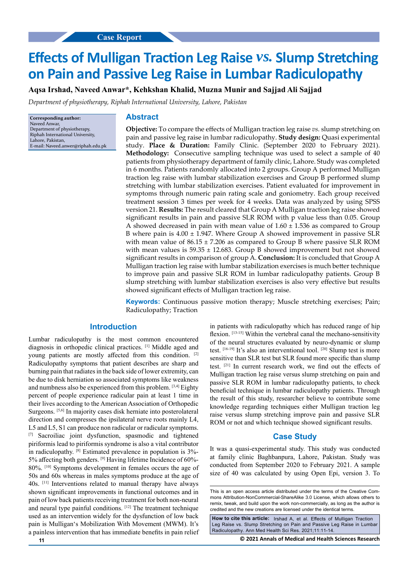# **on Pain and Passive Leg Raise in Lumbar Radiculopathy Effects of Mulligan Traction Leg Raise** *vs***. Slump Stretching**

**Aqsa Irshad, Naveed Anwar\*, Kehkshan Khalid, Muzna Munir and Sajjad Ali Sajjad**

*Department of physiotherapy, Riphah International University, Lahore, Pakistan*

**Corresponding author:** Naveed Anwar, Department of physiotherapy, Riphah International University, Lahore, Pakistan, E-mail: Naveed.anwer@riphah.edu.pk

#### **Abstract**

**Objective:** To compare the effects of Mulligan traction leg raise *vs.* slump stretching on pain and passive leg raise in lumbar radiculopathy. **Study design:** Quasi experimental study. **Place & Duration:** Family Clinic. (September 2020 to February 2021). **Methodology:** Consecutive sampling technique was used to select a sample of 40 patients from physiotherapy department of family clinic, Lahore. Study was completed in 6 months. Patients randomly allocated into 2 groups. Group A performed Mulligan traction leg raise with lumbar stabilization exercises and Group B performed slump stretching with lumbar stabilization exercises. Patient evaluated for improvement in symptoms through numeric pain rating scale and goniometry. Each group received treatment session 3 times per week for 4 weeks. Data was analyzed by using SPSS version 21. **Results:** The result cleared that Group A Mulligan traction leg raise showed significant results in pain and passive SLR ROM with p value less than 0.05. Group A showed decreased in pain with mean value of  $1.60 \pm 1.536$  as compared to Group B where pain is  $4.00 \pm 1.947$ . Where Group A showed improvement in passive SLR with mean value of  $86.15 \pm 7.206$  as compared to Group B where passive SLR ROM with mean values is  $59.35 \pm 12.683$ . Group B showed improvement but not showed significant results in comparison of group A. **Conclusion:** It is concluded that Group A Mulligan traction leg raise with lumbar stabilization exercises is much better technique to improve pain and passive SLR ROM in lumbar radiculopathy patients. Group B slump stretching with lumbar stabilization exercises is also very effective but results showed significant effects of Mulligan traction leg raise.

**Keywords:** Continuous passive motion therapy; Muscle stretching exercises; Pain; Radiculopathy; Traction

# **Introduction**

Lumbar radiculopathy is the most common encountered diagnosis in orthopedic clinical practices. [1] Middle aged and young patients are mostly affected from this condition. [2] Radiculopathy symptoms that patient describes are sharp and burning pain that radiates in the back side of lower extremity, can be due to disk herniation so associated symptoms like weakness and numbness also be experienced from this problem. [3,4] Eighty percent of people experience radicular pain at least 1 time in their lives according to the American Association of Orthopedic Surgeons. [5,6] In majority cases disk herniate into posterolateral direction and compresses the ipsilateral nerve roots mainly L4, L5 and L5, S1 can produce non radicular or radicular symptoms. [7] Sacroiliac joint dysfunction, spasmodic and tightened piriformis lead to piriformis syndrome is also a vital contributor in radiculopathy. [8] Estimated prevalence in population is 3%- 5% affecting both genders. [9] Having lifetime Incidence of 60%- 80%. [10] Symptoms development in females occurs the age of 50s and 60s whereas in males symptoms produce at the age of 40s. [11] Interventions related to manual therapy have always shown significant improvements in functional outcomes and in pain of low back patients receiving treatment for both non-neural and neural type painful conditions. [12] The treatment technique used as an intervention widely for the dysfunction of low back pain is Mulligan's Mobilization With Movement (MWM). It's a painless intervention that has immediate benefits in pain relief in patients with radiculopathy which has reduced range of hip flexion. [13-15] Within the vertebral canal the mechano-sensitivity of the neural structures evaluated by neuro-dynamic or slump test. [16-19] It's also an interventional tool. [20] Slump test is more sensitive than SLR test but SLR found more specific than slump test. [21] In current research work, we find out the effects of Mulligan traction leg raise versus slump stretching on pain and passive SLR ROM in lumbar radiculopathy patients, to check beneficial technique in lumbar radiculopathy patients. Through the result of this study, researcher believe to contribute some knowledge regarding techniques either Mulligan traction leg raise versus slump stretching improve pain and passive SLR ROM or not and which technique showed significant results.

# **Case Study**

It was a quasi-experimental study. This study was conducted at family clinic Baghbanpura, Lahore, Pakistan. Study was conducted from September 2020 to February 2021. A sample size of 40 was calculated by using Open Epi, version 3. To

**How to cite this article:** Irshad A, et al. Effects of Mulligan Traction Leg Raise vs. Slump Stretching on Pain and Passive Leg Raise in Lumbar Radiculopathy. Ann Med Health Sci Res. 2021;11:11-14.

**11 © 2021 Annals of Medical and Health Sciences Research** 

This is an open access article distributed under the terms of the Creative Commons Attribution-NonCommercial-ShareAlike 3.0 License, which allows others to remix, tweak, and build upon the work non-commercially, as long as the author is credited and the new creations are licensed under the identical terms.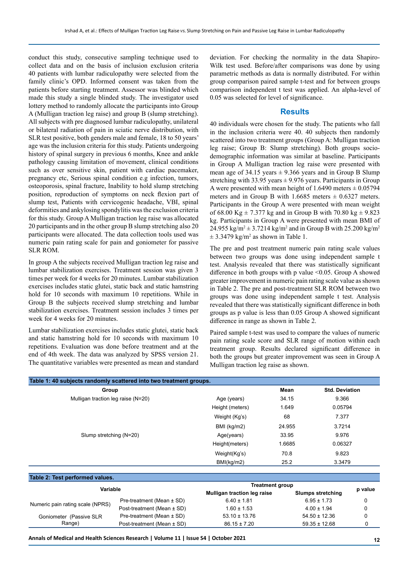conduct this study, consecutive sampling technique used to collect data and on the basis of inclusion exclusion criteria 40 patients with lumbar radiculopathy were selected from the family clinic's OPD. Informed consent was taken from the patients before starting treatment. Assessor was blinded which made this study a single blinded study. The investigator used lottery method to randomly allocate the participants into Group A (Mulligan traction leg raise) and group B (slump stretching). All subjects with pre diagnosed lumbar radiculopathy, unilateral or bilateral radiation of pain in sciatic nerve distribution, with SLR test positive, both genders male and female, 18 to 50 years' age was the inclusion criteria for this study. Patients undergoing history of spinal surgery in previous 6 months, Knee and ankle pathology causing limitation of movement, clinical conditions such as over sensitive skin, patient with cardiac pacemaker, pregnancy etc, Serious spinal condition e.g infection, tumors, osteoporosis, spinal fracture, Inability to hold slump stretching position, reproduction of symptoms on neck flexion part of slump test, Patients with cervicogenic headache, VBI, spinal deformities and ankylosing spondylitis was the exclusion criteria for this study. Group A Mulligan traction leg raise was allocated 20 participants and in the other group B slump stretching also 20 participants were allocated. The data collection tools used was numeric pain rating scale for pain and goniometer for passive SLR ROM.

In group A the subjects received Mulligan traction leg raise and lumbar stabilization exercises. Treatment session was given 3 times per week for 4 weeks for 20 minutes. Lumbar stabilization exercises includes static glutei, static back and static hamstring hold for 10 seconds with maximum 10 repetitions. While in Group B the subjects received slump stretching and lumbar stabilization exercises. Treatment session includes 3 times per week for 4 weeks for 20 minutes.

Lumbar stabilization exercises includes static glutei, static back and static hamstring hold for 10 seconds with maximum 10 repetitions. Evaluation was done before treatment and at the end of 4th week. The data was analyzed by SPSS version 21. The quantitative variables were presented as mean and standard

deviation. For checking the normality in the data Shapiro-Wilk test used. Before/after comparisons was done by using parametric methods as data is normally distributed. For within group comparison paired sample t-test and for between groups comparison independent t test was applied. An alpha-level of 0.05 was selected for level of significance.

#### **Results**

40 individuals were chosen for the study. The patients who fall in the inclusion criteria were 40. 40 subjects then randomly scattered into two treatment groups (Group A: Mulligan traction leg raise; Group B: Slump stretching). Both groups sociodemographic information was similar at baseline. Participants in Group A Mulligan traction leg raise were presented with mean age of 34.15 years  $\pm$  9.366 years and in Group B Slump stretching with 33.95 years  $\pm$  9.976 years. Participants in Group A were presented with mean height of 1.6490 meters  $\pm 0.05794$ meters and in Group B with 1.6685 meters  $\pm$  0.6327 meters. Participants in the Group A were presented with mean weight of 68.00 Kg  $\pm$  7.377 kg and in Group B with 70.80 kg  $\pm$  9.823 kg. Participants in Group A were presented with mean BMI of 24.955 kg/m<sup>2</sup>  $\pm$  3.7214 kg/m<sup>2</sup> and in Group B with 25.200 kg/m<sup>2</sup>  $\pm$  3.3479 kg/m<sup>2</sup> as shown in Table 1.

The pre and post treatment numeric pain rating scale values between two groups was done using independent sample t test. Analysis revealed that there was statistically significant difference in both groups with p value <0.05. Group A showed greater improvement in numeric pain rating scale value as shown in Table 2. The pre and post-treatment SLR ROM between two groups was done using independent sample t test. Analysis revealed that there was statistically significant difference in both groups as p value is less than 0.05 Group A showed significant difference in range as shown in Table 2.

Paired sample t-test was used to compare the values of numeric pain rating scale score and SLR range of motion within each treatment group. Results declared significant difference in both the groups but greater improvement was seen in Group A Mulligan traction leg raise as shown.

| Table 1: 40 subjects randomly scattered into two treatment groups. |                            |                                    |                 |                          |         |  |
|--------------------------------------------------------------------|----------------------------|------------------------------------|-----------------|--------------------------|---------|--|
| Group                                                              |                            |                                    | Mean            | <b>Std. Deviation</b>    |         |  |
| Mulligan traction leg raise (N=20)                                 |                            | Age (years)                        | 34.15           | 9.366                    |         |  |
| Slump stretching (N=20)                                            |                            | Height (meters)                    | 1.649           |                          | 0.05794 |  |
|                                                                    |                            | Weight (Kg's)                      | 68              | 7.377                    |         |  |
|                                                                    |                            | BMI (kg/m2)                        | 24.955          | 3.7214                   |         |  |
|                                                                    |                            | Age(years)                         | 33.95           | 9.976                    | 0.06327 |  |
|                                                                    |                            | Height(meters)                     | 1.6685          |                          |         |  |
|                                                                    |                            | Weight(Kg's)                       | 70.8            | 9.823                    |         |  |
|                                                                    |                            | BMI(kg/m2)                         | 25.2            | 3.3479                   |         |  |
| Table 2: Test performed values.                                    |                            |                                    |                 |                          |         |  |
| Variable                                                           |                            | <b>Treatment group</b>             |                 |                          |         |  |
|                                                                    |                            | <b>Mulligan traction leg raise</b> |                 | <b>Slumps stretching</b> | p value |  |
| Numeric pain rating scale (NPRS)                                   | Pre-treatment (Mean ± SD)  | $6.40 \pm 1.81$                    | $6.95 \pm 1.73$ |                          | 0       |  |
|                                                                    | Post-treatment (Mean ± SD) | $1.60 \pm 1.53$                    |                 | $4.00 \pm 1.94$          |         |  |
| Goniometer (Passive SLR                                            | Pre-treatment (Mean ± SD)  | $53.10 \pm 13.76$                  |                 | $54.50 \pm 12.36$        | 0       |  |

Post-treatment (Mean ± SD) 86.15 ± 7.20 59.35 ± 12.68 0

```
Annals of Medical and Health Sciences Research | Volume 11 | Issue S4 | October 2021 12
```
Range)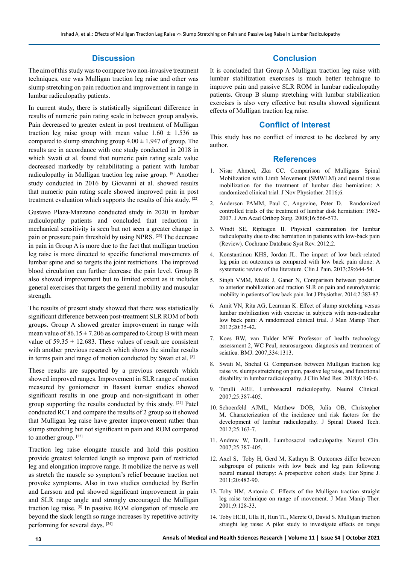#### **Discussion**

The aim of this study was to compare two non-invasive treatment techniques, one was Mulligan traction leg raise and other was slump stretching on pain reduction and improvement in range in lumbar radiculopathy patients.

In current study, there is statistically significant difference in results of numeric pain rating scale in between group analysis. Pain decreased to greater extent in post treatment of Mulligan traction leg raise group with mean value  $1.60 \pm 1.536$  as compared to slump stretching group  $4.00 \pm 1.947$  of group. The results are in accordance with one study conducted in 2018 in which Swati et al. found that numeric pain rating scale value decreased markedly by rehabilitating a patient with lumbar radiculopathy in Mulligan traction leg raise group. [8] Another study conducted in 2016 by Giovanni et al. showed results that numeric pain rating scale showed improved pain in post treatment evaluation which supports the results of this study. [22]

Gustavo Plaza-Manzano conducted study in 2020 in lumbar radiculopathy patients and concluded that reduction in mechanical sensitivity is seen but not seen a greater change in pain or pressure pain threshold by using NPRS. [23] The decrease in pain in Group A is more due to the fact that mulligan traction leg raise is more directed to specific functional movements of lumbar spine and so targets the joint restrictions. The improved blood circulation can further decrease the pain level. Group B also showed improvement but to limited extent as it includes general exercises that targets the general mobility and muscular strength.

The results of present study showed that there was statistically significant difference between post-treatment SLR ROM of both groups. Group A showed greater improvement in range with mean value of  $86.15 \pm 7.206$  as compared to Group B with mean value of  $59.35 \pm 12.683$ . These values of result are consistent with another previous research which shows the similar results in terms pain and range of motion conducted by Swati et al. [8]

These results are supported by a previous research which showed improved ranges. Improvement in SLR range of motion measured by goniometer in Basant kumar studies showed significant results in one group and non-significant in other group supporting the results conducted by this study. [24] Patel conducted RCT and compare the results of 2 group so it showed that Mulligan leg raise have greater improvement rather than slump stretching but not significant in pain and ROM compared to another group. [25]

Traction leg raise elongate muscle and hold this position provide greatest tolerated length so improve pain of restricted leg and elongation improve range. It mobilize the nerve as well as stretch the muscle so symptom's relief because traction not provoke symptoms. Also in two studies conducted by Berlin and Larsson and pal showed significant improvement in pain and SLR range angle and strongly encouraged the Mulligan traction leg raise. [8] In passive ROM elongation of muscle are beyond the slack length so range increases by repetitive activity performing for several days. [24]

## **Conclusion**

It is concluded that Group A Mulligan traction leg raise with lumbar stabilization exercises is much better technique to improve pain and passive SLR ROM in lumbar radiculopathy patients. Group B slump stretching with lumbar stabilization exercises is also very effective but results showed significant effects of Mulligan traction leg raise.

## **Conflict of Interest**

This study has no conflict of interest to be declared by any author.

#### **References**

- 1. Nisar Ahmed, Zka CC. Comparison of Mulligans Spinal Mobilization with Limb Movement (SMWLM) and neural tissue mobilization for the treatment of lumbar disc herniation: A randomized clinical trial. J Nov Physiother. 2016;6.
- 2. Anderson PAMM, Paul C, Angevine, Peter D. Randomized controlled trials of the treatment of lumbar disk herniation: 1983- 2007. J Am Acad Orthop Surg. 2008;16:566-573.
- 3. Windt SE, Riphagen II. Physical examination for lumbar radiculopathy due to disc herniation in patients with low-back pain (Review). Cochrane Database Syst Rev. 2012;2.
- 4. Konstantinou KHS, Jordan JL. The impact of low back-related leg pain on outcomes as compared with low back pain alone: A systematic review of the literature. Clin J Pain. 2013;29:644-54.
- 5. Singh VMM, Malik J, Ganer N, Comparison between posterior to anterior mobilization and traction SLR on pain and neurodynamic mobility in patients of low back pain. Int J Physiother. 2014;2:383-87.
- 6. Amit VN, Rita AG, Learman K. Effect of slump stretching versus lumbar mobilization with exercise in subjects with non-radicular low back pain: A randomized clinical trial. J Man Manip Ther. 2012;20:35-42.
- 7. Koes BW, van Tulder MW. Professor of health technology assessment 2, WC Peul, neurosurgeon. diagnosis and treatment of sciatica. BMJ. 2007;334:1313.
- 8. Swati M, Snehal G. Comparison between Mulligan traction leg raise *vs.* slumps stretching on pain, passive leg raise, and functional disability in lumbar radiculopathy. J Clin Med Res. 2018;6:140-6.
- 9. Tarulli ARE. Lumbosacral radiculopathy. Neurol Clinical. 2007;25:387-405.
- 10. Schoenfeld AJML, Matthew DOB, Julia OB, Christopher M. Characterization of the incidence and risk factors for the development of lumbar radiculopathy. J Spinal Disord Tech. 2012;25:163-7.
- 11. Andrew W, Tarulli. Lumbosacral radiculopathy. Neurol Clin. 2007;25:387-405.
- 12. Axel S, Toby H, Gerd M, Kathryn B. Outcomes differ between subgroups of patients with low back and leg pain following neural manual therapy: A prospective cohort study. Eur Spine J. 2011;20:482-90.
- 13. Toby HM, Antonio C. Effects of the Mulligan traction straight leg raise technique on range of movement. J Man Manip Ther. 2001;9:128-33.
- 14. Toby HCB, Ulla H, Hun TL, Merete O, David S. Mulligan traction straight leg raise: A pilot study to investigate effects on range